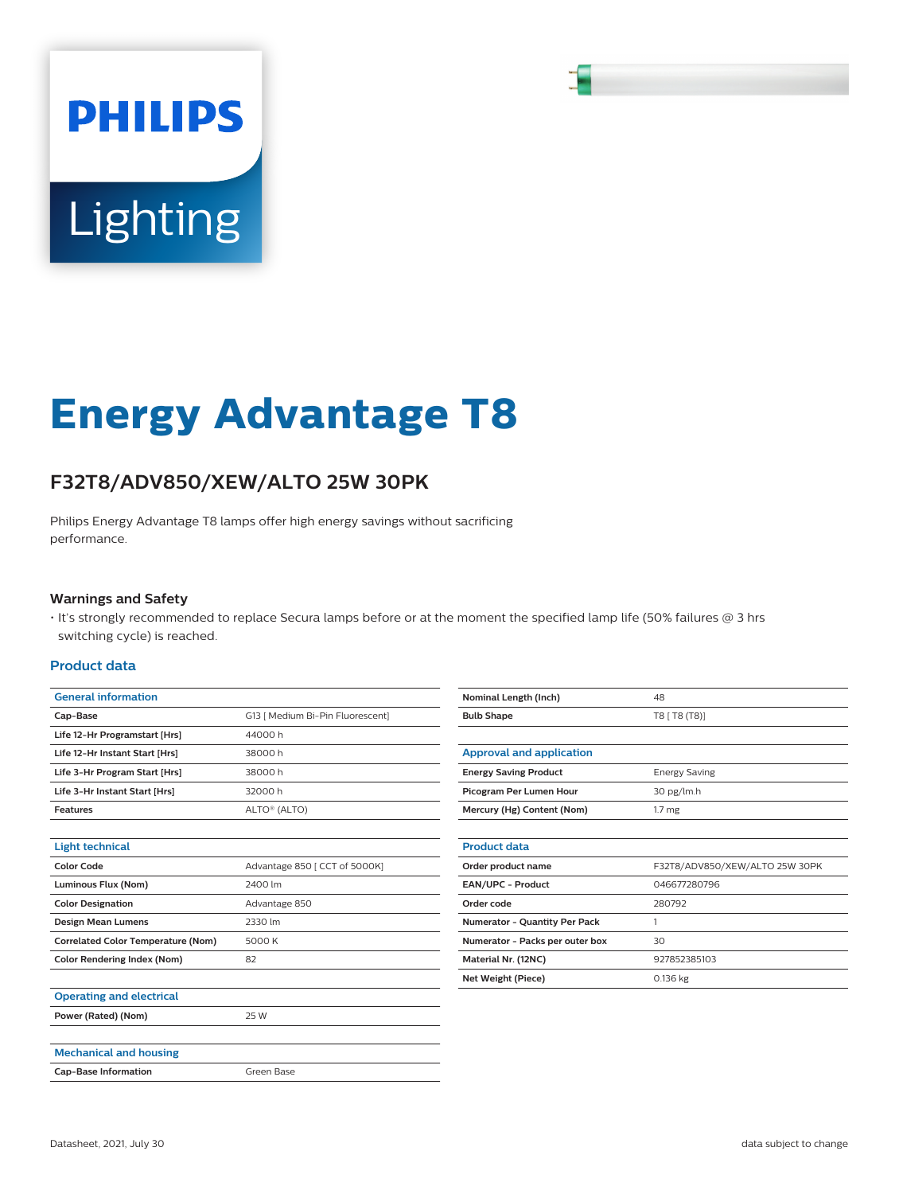# **PHILIPS** Lighting

## **Energy Advantage T8**

### **F32T8/ADV850/XEW/ALTO 25W 30PK**

Philips Energy Advantage T8 lamps offer high energy savings without sacrificing performance.

#### **Warnings and Safety**

• It's strongly recommended to replace Secura lamps before or at the moment the specified lamp life (50% failures @ 3 hrs switching cycle) is reached.

#### **Product data**

| <b>General information</b>                |                                  |
|-------------------------------------------|----------------------------------|
| Cap-Base                                  | G13   Medium Bi-Pin Fluorescent] |
| Life 12-Hr Programstart [Hrs]             | 44000h                           |
| Life 12-Hr Instant Start [Hrs]            | 38000h                           |
| Life 3-Hr Program Start [Hrs]             | 38000h                           |
| Life 3-Hr Instant Start [Hrs]             | 32000 h                          |
| <b>Features</b>                           | ALTO <sup>®</sup> (ALTO)         |
|                                           |                                  |
| <b>Light technical</b>                    |                                  |
| <b>Color Code</b>                         | Advantage 850   CCT of 5000K]    |
| Luminous Flux (Nom)                       | 2400 lm                          |
| <b>Color Designation</b>                  | Advantage 850                    |
| Design Mean Lumens                        | 2330 lm                          |
| <b>Correlated Color Temperature (Nom)</b> | 5000 K                           |
| <b>Color Rendering Index (Nom)</b>        | 82                               |
|                                           |                                  |
| <b>Operating and electrical</b>           |                                  |
| Power (Rated) (Nom)                       | 25 W                             |
|                                           |                                  |
| <b>Mechanical and housing</b>             |                                  |
| <b>Cap-Base Information</b>               | Green Base                       |
|                                           |                                  |

| 48                             |
|--------------------------------|
| T8   T8 (T8)]                  |
|                                |
|                                |
| <b>Energy Saving</b>           |
| 30 pg/lm.h                     |
| 1.7 <sub>mg</sub>              |
|                                |
|                                |
| F32T8/ADV850/XEW/ALTO 25W 30PK |
| 046677280796                   |
| 280792                         |
| 1                              |
| 30                             |
| 927852385103                   |
| 0.136 kg                       |
|                                |